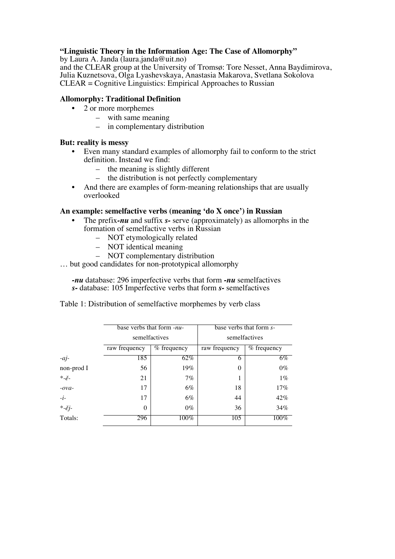# **"Linguistic Theory in the Information Age: The Case of Allomorphy"**

by Laura A. Janda (laura.janda@uit.no)

and the CLEAR group at the University of Tromsø: Tore Nesset, Anna Baydimirova, Julia Kuznetsova, Olga Lyashevskaya, Anastasia Makarova, Svetlana Sokolova CLEAR = Cognitive Linguistics: Empirical Approaches to Russian

## **Allomorphy: Traditional Definition**

- 2 or more morphemes
	- with same meaning
	- in complementary distribution

### **But: reality is messy**

- Even many standard examples of allomorphy fail to conform to the strict definition. Instead we find:
	- the meaning is slightly different
	- the distribution is not perfectly complementary
- And there are examples of form-meaning relationships that are usually overlooked

### **An example: semelfactive verbs (meaning 'do X once') in Russian**

- The prefix*-nu* and suffix *s-* serve (approximately) as allomorphs in the formation of semelfactive verbs in Russian
	- NOT etymologically related
	- NOT identical meaning
	- NOT complementary distribution
- … but good candidates for non-prototypical allomorphy

*-nu* database: 296 imperfective verbs that form *-nu* semelfactives *s-* database: 105 Imperfective verbs that form *s-* semelfactives

Table 1: Distribution of semelfactive morphemes by verb class

|                           | base verbs that form -nu-<br>semelfactives |             | base verbs that form s-<br>semelfactives |               |
|---------------------------|--------------------------------------------|-------------|------------------------------------------|---------------|
|                           |                                            |             |                                          |               |
|                           | raw frequency                              | % frequency | raw frequency                            | $%$ frequency |
| $-aj$                     | 185                                        | 62%         | 6                                        | $6\%$         |
| non-prod I                | 56                                         | $19\%$      | $\theta$                                 | $0\%$         |
| $\ast$ -ě-                | 21                                         | $7\%$       |                                          | $1\%$         |
| $-ovq$                    | 17                                         | $6\%$       | 18                                       | 17%           |
| $-i-$                     | 17                                         | $6\%$       | 44                                       | 42%           |
| $\ddot{\varepsilon}$ -ěj- | $\Omega$                                   | $0\%$       | 36                                       | 34%           |
| Totals:                   | 296                                        | $100\%$     | 105                                      | 100%          |